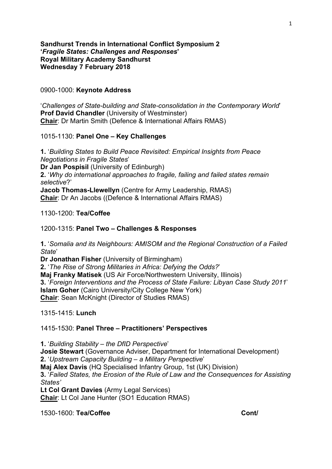## **Sandhurst Trends in International Conflict Symposium 2 '***Fragile States: Challenges and Responses***' Royal Military Academy Sandhurst Wednesday 7 February 2018**

#### 0900-1000: **Keynote Address**

'*Challenges of State-building and State-consolidation in the Contemporary World*' **Prof David Chandler** (University of Westminster) **Chair**: Dr Martin Smith (Defence & International Affairs RMAS)

#### 1015-1130: **Panel One – Key Challenges**

**1.** '*Building States to Build Peace Revisited: Empirical Insights from Peace Negotiations in Fragile States*' **Dr Jan Pospisil** (University of Edinburgh) **2.** '*Why do international approaches to fragile, failing and failed states remain selective*?' **Jacob Thomas-Llewellyn** (Centre for Army Leadership, RMAS) **Chair**: Dr An Jacobs ((Defence & International Affairs RMAS)

## 1130-1200: **Tea/Coffee**

#### 1200-1315: **Panel Two – Challenges & Responses**

**1.** '*Somalia and its Neighbours: AMISOM and the Regional Construction of a Failed State*'

**Dr Jonathan Fisher** (University of Birmingham) **2.** '*The Rise of Strong Militaries in Africa: Defying the Odds?*' **Maj Franky Matisek** (US Air Force/Northwestern University, Illinois) **3.** '*Foreign Interventions and the Process of State Failure: Libyan Case Study 2011*' **Islam Goher** (Cairo University/City College New York) **Chair**: Sean McKnight (Director of Studies RMAS)

1315-1415: **Lunch**

## 1415-1530: **Panel Three – Practitioners' Perspectives**

**1.** '*Building Stability – the DfID Perspective*' **Josie Stewart** (Governance Adviser, Department for International Development) **2.** '*Upstream Capacity Building – a Military Perspective*' **Maj Alex Davis** (HQ Specialised Infantry Group, 1st (UK) Division) **3.** '*Failed States, the Erosion of the Rule of Law and the Consequences for Assisting States'* **Lt Col Grant Davies** (Army Legal Services) **Chair**: Lt Col Jane Hunter (SO1 Education RMAS)

1530-1600: **Tea/Coffee Cont/**